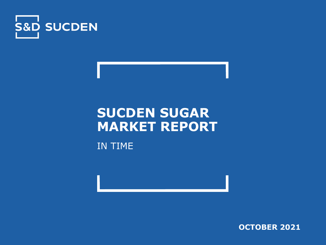

# **SUCDEN SUGAR MARKET REPORT**

IN TIME

**OCTOBER 2021**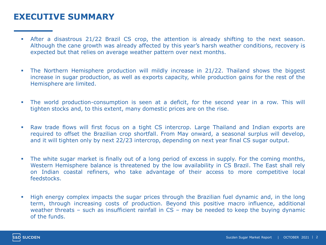#### **EXECUTIVE SUMMARY**

- **EXECT** After a disastrous 21/22 Brazil CS crop, the attention is already shifting to the next season. Although the cane growth was already affected by this year's harsh weather conditions, recovery is expected but that relies on average weather pattern over next months.
- The Northern Hemisphere production will mildly increase in 21/22. Thailand shows the biggest increase in sugar production, as well as exports capacity, while production gains for the rest of the Hemisphere are limited.
- **•** The world production-consumption is seen at a deficit, for the second year in a row. This will tighten stocks and, to this extent, many domestic prices are on the rise.
- Raw trade flows will first focus on a tight CS intercrop. Large Thailand and Indian exports are required to offset the Brazilian crop shortfall. From May onward, a seasonal surplus will develop, and it will tighten only by next 22/23 intercrop, depending on next year final CS sugar output.
- **•** The white sugar market is finally out of a long period of excess in supply. For the coming months, Western Hemisphere balance is threatened by the low availability in CS Brazil. The East shall rely on Indian coastal refiners, who take advantage of their access to more competitive local feedstocks.
- High energy complex impacts the sugar prices through the Brazilian fuel dynamic and, in the long term, through increasing costs of production. Beyond this positive macro influence, additional weather threats – such as insufficient rainfall in CS – may be needed to keep the buying dynamic of the funds.

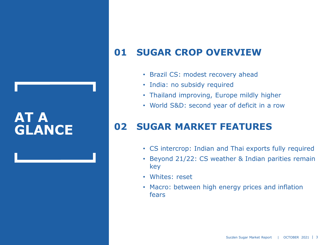## **AT A GLANCE**

## **01 SUGAR CROP OVERVIEW**

- Brazil CS: modest recovery ahead
- India: no subsidy required
- Thailand improving, Europe mildly higher
- World S&D: second year of deficit in a row

## **02 SUGAR MARKET FEATURES**

- CS intercrop: Indian and Thai exports fully required
- Beyond 21/22: CS weather & Indian parities remain key
- Whites: reset
- Macro: between high energy prices and inflation fears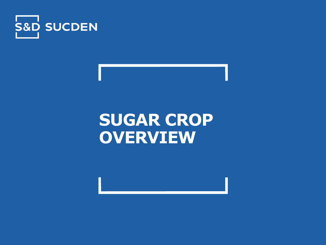

# **SUGAR CROP OVERVIEW**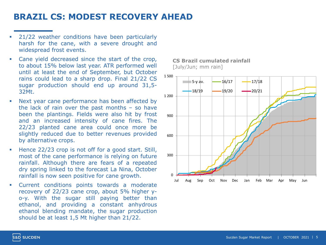#### **BRAZIL CS: MODEST RECOVERY AHEAD**

- 21/22 weather conditions have been particularly harsh for the cane, with a severe drought and widespread frost events.
- Cane yield decreased since the start of the crop, to about 15% below last year. ATR performed well until at least the end of September, but October rains could lead to a sharp drop. Final 21/22 CS sugar production should end up around 31,5- 32Mt.
- Next year cane performance has been affected by the lack of rain over the past months – so have been the plantings. Fields were also hit by frost and an increased intensity of cane fires. The 22/23 planted cane area could once more be slightly reduced due to better revenues provided by alternative crops.
- Hence 22/23 crop is not off for a good start. Still, most of the cane performance is relying on future rainfall. Although there are fears of a repeated dry spring linked to the forecast La Nina, October rainfall is now seen positive for cane growth.
- Current conditions points towards a moderate recovery of 22/23 cane crop, about 5% higher yo-y. With the sugar still paying better than ethanol, and providing a constant anhydrous ethanol blending mandate, the sugar production should be at least 1,5 Mt higher than 21/22.

**CS Brazil cumulated rainfall** [July/Jun; mm rain]



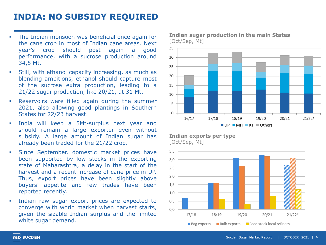#### **INDIA: NO SUBSIDY REQUIRED**

- The Indian monsoon was beneficial once again for the cane crop in most of Indian cane areas. Next year's crop should post again a good performance, with a sucrose production around 34,5 Mt.
- Still, with ethanol capacity increasing, as much as blending ambitions, ethanol should capture most of the sucrose extra production, leading to a 21/22 sugar production, like 20/21, at 31 Mt.
- Reservoirs were filled again during the summer 2021, also allowing good plantings in Southern States for 22/23 harvest.
- India will keep a 5Mt-surplus next year and should remain a large exporter even without subsidy. A large amount of Indian sugar has already been traded for the 21/22 crop.
- Since September, domestic market prices have been supported by low stocks in the exporting state of Maharashtra, a delay in the start of the harvest and a recent increase of cane price in UP. Thus, export prices have been slightly above buyers' appetite and few trades have been reported recently.
- Indian raw sugar export prices are expected to converge with world market when harvest starts, given the sizable Indian surplus and the limited white sugar demand.

**Indian sugar production in the main States**  [Oct/Sep, Mt]



**Indian exports per type** [Oct/Sep, Mt]

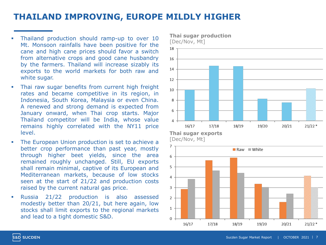#### **THAILAND IMPROVING, EUROPE MILDLY HIGHER**

- Thailand production should ramp-up to over 10 Mt. Monsoon rainfalls have been positive for the cane and high cane prices should favor a switch from alternative crops and good cane husbandry by the farmers. Thailand will increase sizably its exports to the world markets for both raw and white sugar.
- **.** Thai raw sugar benefits from current high freight rates and became competitive in its region, in Indonesia, South Korea, Malaysia or even China. A renewed and strong demand is expected from January onward, when Thai crop starts. Major Thailand competitor will be India, whose value remains highly correlated with the NY11 price level.
- The European Union production is set to achieve a better crop performance than past year, mostly through higher beet yields, since the area remained roughly unchanged. Still, EU exports shall remain minimal, captive of its European and Mediterranean markets, because of low stocks seen at the start of 21/22 and production costs raised by the current natural gas price.
- Russia 21/22 production is also assessed modestly better than 20/21, but here again, low stocks shall limit exports to the regional markets and lead to a tight domestic S&D.

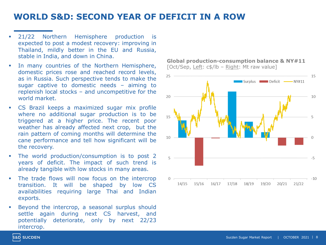#### **WORLD S&D: SECOND YEAR OF DEFICIT IN A ROW**

- 21/22 Northern Hemisphere production is expected to post a modest recovery: improving in Thailand, mildly better in the EU and Russia, stable in India, and down in China.
- In many countries of the Northern Hemisphere, domestic prices rose and reached record levels, as in Russia. Such perspective tends to make the sugar captive to domestic needs – aiming to replenish local stocks – and uncompetitive for the world market.
- CS Brazil keeps a maximized sugar mix profile where no additional sugar production is to be triggered at a higher price. The recent poor weather has already affected next crop, but the rain pattern of coming months will determine the cane performance and tell how significant will be the recovery.
- The world production/consumption is to post 2 years of deficit. The impact of such trend is already tangible with low stocks in many areas.
- The trade flows will now focus on the intercrop transition. It will be shaped by low CS availabilities requiring large Thai and Indian exports.
- Beyond the intercrop, a seasonal surplus should settle again during next CS harvest, and potentially deteriorate, only by next 22/23 intercrop.

**Global production-consumption balance & NY#11** [Oct/Sep, Left: c\$/lb - Right: Mt raw value]

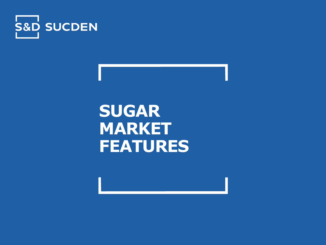

**SUGAR MARKET FEATURES**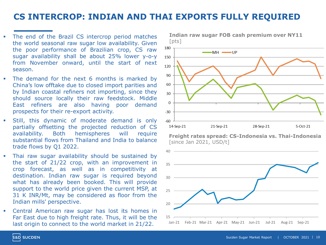#### **CS INTERCROP: INDIAN AND THAI EXPORTS FULLY REQUIRED**

- The end of the Brazil CS intercrop period matches the world seasonal raw sugar low availability. Given the poor performance of Brazilian crop, CS raw sugar availability shall be about 25% lower y-o-y from November onward, until the start of next season.
- The demand for the next 6 months is marked by China's low offtake due to closed import parities and by Indian coastal refiners not importing, since they should source locally their raw feedstock. Middle East refiners are also having poor demand prospects for their re-export activity.
- Still, this dynamic of moderate demand is only partially offsetting the projected reduction of CS availability. Both hemispheres will require substantial flows from Thailand and India to balance trade flows by Q1 2022.
- Thai raw sugar availability should be sustained by the start of 21/22 crop, with an improvement in crop forecast, as well as in competitivity at destination. Indian raw sugar is required beyond what has already been booked. This will provide support to the world price given the current MSP, at 31 K INR/Mt, may be considered as floor from the Indian mills' perspective.
- Central American raw sugar has lost its homes in Far East due to high freight rate. Thus, it will be the last origin to connect to the world market in 21/22.



**Freight rates spread: CS-Indonesia vs. Thai-Indonesia** [since Jan 2021, USD/t]



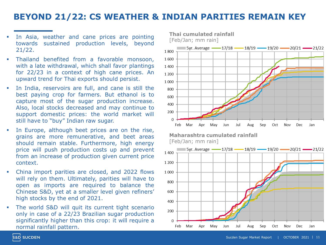#### **BEYOND 21/22: CS WEATHER & INDIAN PARITIES REMAIN KEY**

- In Asia, weather and cane prices are pointing towards sustained production levels, beyond 21/22.
- **·** Thailand benefited from a favorable monsoon, with a late withdrawal, which shall favor plantings for 22/23 in a context of high cane prices. An upward trend for Thai exports should persist.
- In India, reservoirs are full, and cane is still the best paying crop for farmers. But ethanol is to capture most of the sugar production increase. Also, local stocks decreased and may continue to support domestic prices: the world market will still have to "buy" Indian raw sugar.
- In Europe, although beet prices are on the rise, grains are more remunerative, and beet areas should remain stable. Furthermore, high energy price will push production costs up and prevent from an increase of production given current price context.
- China import parities are closed, and 2022 flows will rely on them. Ultimately, parities will have to open as imports are required to balance the Chinese S&D, yet at a smaller level given refiners' high stocks by the end of 2021.
- **.** The world S&D will quit its current tight scenario only in case of a 22/23 Brazilian sugar production significantly higher than this crop: it will require a normal rainfall pattern.



**Maharashtra cumulated rainfall** [Feb/Jan; mm rain]



**S&D SUCDEN**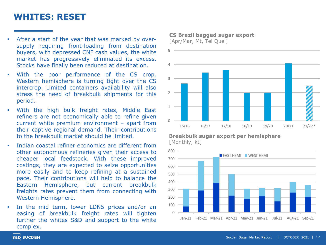#### **WHITES: RESET**

- After a start of the year that was marked by oversupply requiring front-loading from destination buyers, with depressed CNF cash values, the white market has progressively eliminated its excess. Stocks have finally been reduced at destination.
- With the poor performance of the CS crop, Western hemisphere is turning tight over the CS intercrop. Limited containers availability will also stress the need of breakbulk shipments for this period.
- With the high bulk freight rates, Middle East refiners are not economically able to refine given current white premium environment – apart from their captive regional demand. Their contributions to the breakbulk market should be limited.
- Indian coastal refiner economics are different from other autonomous refineries given their access to cheaper local feedstock. With these improved costings, they are expected to seize opportunities more easily and to keep refining at a sustained pace. Their contributions will help to balance the Eastern Hemisphere, but current breakbulk freights rates prevent them from connecting with Western Hemisphere.
- In the mid term, lower LDN5 prices and/or an easing of breakbulk freight rates will tighten further the whites S&D and support to the white complex.

**CS Brazil bagged sugar export** [Apr/Mar, Mt, Tel Quel]



**Breakbulk sugar export per hemisphere** [Monthly, kt]



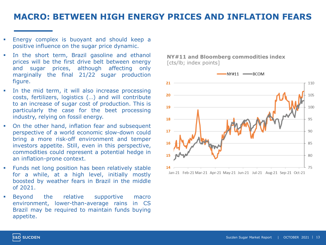#### **MACRO: BETWEEN HIGH ENERGY PRICES AND INFLATION FEARS**

- Energy complex is buoyant and should keep a positive influence on the sugar price dynamic.
- **.** In the short term, Brazil gasoline and ethanol prices will be the first drive belt between energy and sugar prices, although affecting only marginally the final 21/22 sugar production figure.
- **•** In the mid term, it will also increase processing costs, fertilizers, logistics (…) and will contribute to an increase of sugar cost of production. This is particularly the case for the beet processing industry, relying on fossil energy.
- On the other hand, inflation fear and subsequent perspective of a world economic slow-down could bring a more risk-off environment and temper investors appetite. Still, even in this perspective, commodities could represent a potential hedge in an inflation-prone context.
- Funds net long position has been relatively stable for a while, at a high level, initially mostly boosted by weather fears in Brazil in the middle of 2021.
- Beyond the relative supportive macro environment, lower-than-average rains in CS Brazil may be required to maintain funds buying appetite.

**NY#11 and Bloomberg commodities index** [cts/lb; index points]